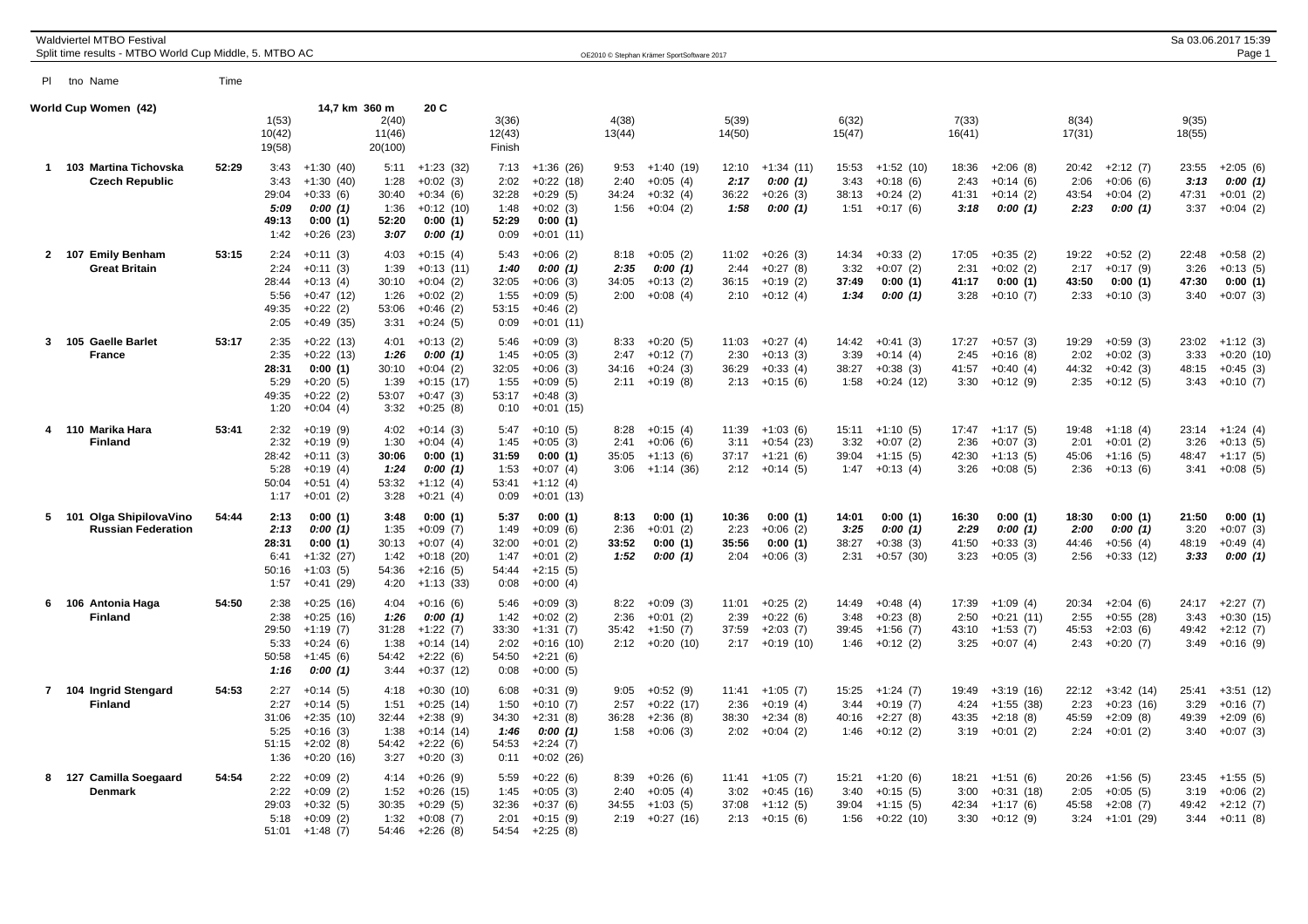|     | <b>Waldviertel MTBO Festival</b><br>Split time results - MTBO World Cup Middle, 5. MTBO AC |       |                                                |                                                                                    |                                                |                                                                                     |                                                |                                                                                   |                               | OE2010 © Stephan Krämer SportSoftware 2017            |                                |                                                                    |                                |                                                       |                                |                                                            |                                |                                                        |                                | Sa 03.06.2017 15:39<br>Page 1                         |
|-----|--------------------------------------------------------------------------------------------|-------|------------------------------------------------|------------------------------------------------------------------------------------|------------------------------------------------|-------------------------------------------------------------------------------------|------------------------------------------------|-----------------------------------------------------------------------------------|-------------------------------|-------------------------------------------------------|--------------------------------|--------------------------------------------------------------------|--------------------------------|-------------------------------------------------------|--------------------------------|------------------------------------------------------------|--------------------------------|--------------------------------------------------------|--------------------------------|-------------------------------------------------------|
| PI. | tno Name                                                                                   | Time  |                                                |                                                                                    |                                                |                                                                                     |                                                |                                                                                   |                               |                                                       |                                |                                                                    |                                |                                                       |                                |                                                            |                                |                                                        |                                |                                                       |
|     | World Cup Women (42)                                                                       |       | 1(53)<br>10(42)<br>19(58)                      | 14,7 km 360 m                                                                      | 2(40)<br>11(46)<br>20(100)                     | 20 C                                                                                | 3(36)<br>12(43)<br>Finish                      |                                                                                   | 4(38)<br>13(44)               |                                                       | 5(39)<br>14(50)                |                                                                    | 6(32)<br>15(47)                |                                                       | 7(33)<br>16(41)                |                                                            | 8(34)<br>17(31)                |                                                        | 9(35)<br>18(55)                |                                                       |
|     | 1 103 Martina Tichovska<br><b>Czech Republic</b>                                           | 52:29 | 3:43<br>3:43<br>29:04<br>5:09<br>49:13<br>1:42 | $+1:30(40)$<br>$+1:30(40)$<br>$+0:33(6)$<br>0:00(1)<br>0:00(1)<br>$+0:26(23)$      | 5:11<br>1:28<br>30:40<br>1:36<br>52:20<br>3:07 | $+1:23(32)$<br>$+0:02(3)$<br>$+0:34(6)$<br>$+0:12(10)$<br>0:00(1)<br>0:00(1)        | 7:13<br>2:02<br>32:28<br>1:48<br>52:29<br>0:09 | $+1:36(26)$<br>$+0:22(18)$<br>$+0.29(5)$<br>$+0:02(3)$<br>0:00(1)<br>$+0:01(11)$  | 9:53<br>2:40<br>34:24<br>1:56 | $+1:40(19)$<br>$+0:05(4)$<br>$+0:32(4)$<br>$+0:04(2)$ | 12:10<br>2:17<br>36:22<br>1:58 | $+1:34(11)$<br>0:00(1)<br>$+0:26(3)$<br>0:00(1)                    | 15:53<br>3:43<br>38:13<br>1:51 | $+1:52(10)$<br>$+0:18(6)$<br>$+0:24(2)$<br>$+0:17(6)$ | 18:36<br>2:43<br>41:31<br>3:18 | $+2:06(8)$<br>$+0:14(6)$<br>$+0:14(2)$<br>0:00(1)          | 20:42<br>2:06<br>43:54<br>2:23 | $+2:12(7)$<br>$+0:06(6)$<br>$+0:04(2)$<br>0:00(1)      | 23:55<br>3:13<br>47:31<br>3:37 | $+2:05(6)$<br>0:00(1)<br>$+0:01(2)$<br>$+0:04(2)$     |
|     | 2 107 Emily Benham<br><b>Great Britain</b>                                                 | 53:15 | 2:24<br>2:24<br>28:44<br>5:56<br>49:35<br>2:05 | $+0:11(3)$<br>$+0:11(3)$<br>$+0:13(4)$<br>$+0:47(12)$<br>$+0:22(2)$<br>$+0.49(35)$ | 4:03<br>1:39<br>30:10<br>1:26<br>53:06<br>3:31 | $+0:15(4)$<br>$+0:13(11)$<br>$+0:04(2)$<br>$+0:02(2)$<br>$+0:46(2)$<br>$+0:24(5)$   | 5:43<br>1:40<br>32:05<br>1:55<br>53:15<br>0:09 | $+0:06(2)$<br>0:00(1)<br>$+0:06(3)$<br>$+0:09(5)$<br>$+0:46(2)$<br>$+0:01(11)$    | 8:18<br>2:35<br>34:05<br>2:00 | $+0:05(2)$<br>0:00(1)<br>$+0:13(2)$<br>$+0:08(4)$     | 11:02<br>2:44<br>36:15<br>2:10 | $+0:26(3)$<br>$+0:27(8)$<br>$+0:19(2)$<br>$+0:12(4)$               | 14:34<br>3:32<br>37:49<br>1:34 | $+0:33(2)$<br>$+0:07(2)$<br>0:00(1)<br>0:00(1)        | 17:05<br>2:31<br>41:17<br>3:28 | $+0:35(2)$<br>$+0:02(2)$<br>0:00(1)<br>$+0:10(7)$          | 19:22<br>2:17<br>43:50<br>2:33 | $+0:52(2)$<br>$+0:17(9)$<br>0:00(1)<br>$+0:10(3)$      | 22:48<br>3:26<br>47:30<br>3:40 | $+0:58(2)$<br>$+0:13(5)$<br>0:00(1)<br>$+0:07(3)$     |
|     | 3 105 Gaelle Barlet<br><b>France</b>                                                       | 53:17 | 2:35<br>2:35<br>28:31<br>5:29<br>49:35<br>1:20 | $+0:22(13)$<br>$+0:22(13)$<br>0:00(1)<br>$+0:20(5)$<br>$+0:22(2)$<br>$+0:04(4)$    | 4:01<br>1:26<br>30:10<br>1:39<br>53:07<br>3:32 | $+0:13(2)$<br>0:00(1)<br>$+0:04(2)$<br>$+0:15(17)$<br>$+0:47(3)$<br>$+0:25(8)$      | 5:46<br>1:45<br>32:05<br>1:55<br>53:17<br>0:10 | $+0:09(3)$<br>$+0:05(3)$<br>$+0:06(3)$<br>$+0:09(5)$<br>$+0:48(3)$<br>$+0:01(15)$ | 8:33<br>2:47<br>34:16<br>2:11 | $+0:20(5)$<br>$+0:12(7)$<br>$+0:24(3)$<br>$+0:19(8)$  | 11:03<br>2:30<br>36:29<br>2:13 | $+0:27(4)$<br>$+0:13(3)$<br>$+0:33(4)$<br>$+0:15(6)$               | 14:42<br>3:39<br>38:27<br>1:58 | $+0:41(3)$<br>$+0:14(4)$<br>$+0:38(3)$<br>$+0:24(12)$ | 17:27<br>2:45<br>41:57<br>3:30 | $+0:57(3)$<br>$+0:16(8)$<br>$+0:40(4)$<br>$+0:12(9)$       | 19:29<br>2:02<br>44:32<br>2:35 | $+0:59(3)$<br>$+0:02(3)$<br>$+0:42(3)$<br>$+0:12(5)$   | 23:02<br>3:33<br>48:15<br>3:43 | $+1:12(3)$<br>$+0:20(10)$<br>$+0:45(3)$<br>$+0:10(7)$ |
|     | 4 110 Marika Hara<br><b>Finland</b>                                                        | 53:41 | 2:32<br>2:32<br>28:42<br>5:28<br>50:04<br>1:17 | $+0:19(9)$<br>$+0:19(9)$<br>$+0:11(3)$<br>$+0:19(4)$<br>$+0:51(4)$<br>$+0:01(2)$   | 4:02<br>1:30<br>30:06<br>1:24<br>53:32<br>3:28 | $+0:14(3)$<br>$+0:04(4)$<br>0:00(1)<br>0:00(1)<br>$+1:12(4)$<br>$+0:21(4)$          | 5:47<br>1:45<br>31:59<br>1:53<br>53:41<br>0:09 | $+0:10(5)$<br>$+0:05(3)$<br>0:00(1)<br>$+0:07(4)$<br>$+1:12(4)$<br>$+0:01(13)$    | 8:28<br>2:41<br>35:05<br>3:06 | $+0:15(4)$<br>$+0:06(6)$<br>$+1:13(6)$<br>+1:14 (36)  | 11:39<br>3:11<br>37:17<br>2:12 | $+1:03(6)$<br>$+0:54(23)$<br>$+1:21(6)$<br>$+0:14(5)$              | 15:11<br>3:32<br>39:04<br>1:47 | $+1:10(5)$<br>$+0:07(2)$<br>$+1:15(5)$<br>$+0:13(4)$  | 2:36<br>42:30<br>3:26          | $17:47 +1:17(5)$<br>$+0:07(3)$<br>$+1:13(5)$<br>$+0:08(5)$ | 19:48<br>2:01<br>45:06<br>2:36 | $+1:18(4)$<br>$+0:01(2)$<br>$+1:16(5)$<br>$+0:13(6)$   | 23:14<br>3:26<br>48:47<br>3:41 | $+1:24(4)$<br>$+0:13(5)$<br>$+1:17(5)$<br>$+0:08(5)$  |
|     | 5 101 Olga ShipilovaVino<br><b>Russian Federation</b>                                      | 54:44 | 2:13<br>2:13<br>28:31<br>6:41<br>50:16<br>1:57 | 0:00(1)<br>0:00(1)<br>0:00(1)<br>$+1:32(27)$<br>$+1:03(5)$<br>$+0:41(29)$          | 3:48<br>1:35<br>30:13<br>1:42<br>54:36<br>4:20 | 0:00(1)<br>$+0:09(7)$<br>$+0:07(4)$<br>$+0:18(20)$<br>$+2:16(5)$<br>$+1:13(33)$     | 5:37<br>1:49<br>32:00<br>1:47<br>54:44<br>0:08 | 0:00(1)<br>$+0:09(6)$<br>$+0:01(2)$<br>$+0:01(2)$<br>$+2:15(5)$<br>$+0:00(4)$     | 8:13<br>2:36<br>33:52<br>1:52 | 0:00(1)<br>$+0:01(2)$<br>0:00(1)<br>0:00(1)           | 10:36<br>2:23<br>35:56<br>2:04 | 0:00(1)<br>$+0:06(2)$<br>0:00(1)<br>$+0:06(3)$                     | 14:01<br>3:25<br>38:27<br>2:31 | 0:00(1)<br>0:00(1)<br>$+0:38(3)$<br>$+0:57(30)$       | 16:30<br>2:29<br>41:50<br>3:23 | 0:00(1)<br>0:00(1)<br>$+0:33(3)$<br>$+0:05(3)$             | 18:30<br>2:00<br>44:46<br>2:56 | 0:00(1)<br>0:00(1)<br>$+0:56(4)$<br>$+0:33(12)$        | 21:50<br>3:20<br>48:19<br>3:33 | 0:00(1)<br>$+0:07(3)$<br>$+0:49(4)$<br>0:00(1)        |
|     | 6 106 Antonia Haga<br><b>Finland</b>                                                       | 54:50 | 2:38<br>2:38<br>29:50<br>5:33<br>50:58<br>1:16 | $+0:25(16)$<br>$+0:25(16)$<br>$+1:19(7)$<br>$+0:24(6)$<br>$+1:45(6)$<br>0:00(1)    | 4:04<br>1:26<br>31:28<br>1:38<br>54:42<br>3:44 | $+0:16(6)$<br>0:00(1)<br>$+1:22(7)$<br>$+0:14(14)$<br>$+2:22(6)$<br>$+0:37(12)$     | 5:46<br>1:42<br>33:30<br>2:02<br>54:50<br>0:08 | $+0:09(3)$<br>$+0:02(2)$<br>$+1:31(7)$<br>$+0:16(10)$<br>$+2:21(6)$<br>$+0:00(5)$ | 8:22<br>2:36<br>35:42<br>2:12 | $+0:09(3)$<br>$+0:01(2)$<br>$+1:50(7)$<br>$+0:20(10)$ | 11:01<br>2:39<br>37:59<br>2:17 | $+0:25(2)$<br>$+0:22(6)$<br>$+2:03(7)$<br>$+0:19(10)$              | 14:49<br>3:48<br>39:45<br>1:46 | $+0:48(4)$<br>$+0:23(8)$<br>$+1:56(7)$<br>$+0:12(2)$  | 17:39<br>2:50<br>43:10<br>3:25 | $+1:09(4)$<br>$+0:21(11)$<br>$+1:53(7)$<br>$+0:07(4)$      | 20:34<br>2:55<br>45:53<br>2:43 | $+2:04(6)$<br>$+0:55(28)$<br>$+2:03(6)$<br>$+0:20(7)$  | 24:17<br>3:43<br>49:42<br>3:49 | $+2:27(7)$<br>$+0:30(15)$<br>$+2:12(7)$<br>$+0:16(9)$ |
|     | 7 104 Ingrid Stengard<br><b>Finland</b>                                                    | 54:53 | 2:27<br>2:27<br>31:06<br>5:25<br>51:15<br>1:36 | $+0:14(5)$<br>$+0:14(5)$<br>$+2:35(10)$<br>$+0:16(3)$<br>$+2:02(8)$<br>$+0:20(16)$ | 4:18<br>1:51<br>32:44<br>1:38<br>54:42<br>3:27 | $+0:30(10)$<br>$+0:25(14)$<br>$+2:38(9)$<br>$+0:14(14)$<br>$+2:22(6)$<br>$+0:20(3)$ | 6:08<br>1:50<br>34:30<br>1:46<br>54:53<br>0:11 | $+0:31(9)$<br>$+0:10(7)$<br>$+2:31(8)$<br>0:00(1)<br>$+2:24(7)$<br>$+0:02(26)$    | 9:05<br>2:57<br>36:28<br>1:58 | $+0:52(9)$<br>$+0:22(17)$<br>$+2:36(8)$<br>$+0:06(3)$ | 2:36<br>38:30                  | $11:41 + 1:05(7)$<br>$+0:19(4)$<br>$+2:34(8)$<br>$2:02 +0:04$ (2)  | 15:25<br>3:44<br>40:16<br>1:46 | $+1:24(7)$<br>$+0:19(7)$<br>$+2:27(8)$<br>$+0:12(2)$  | 19:49<br>4:24<br>43:35<br>3:19 | $+3:19(16)$<br>$+1:55(38)$<br>$+2:18(8)$<br>$+0:01(2)$     | 22:12<br>2:23<br>45:59<br>2:24 | $+3:42(14)$<br>$+0:23(16)$<br>$+2:09(8)$<br>$+0:01(2)$ | 25:41<br>3:29<br>49:39<br>3:40 | $+3:51(12)$<br>$+0:16(7)$<br>$+2:09(6)$<br>$+0:07(3)$ |
|     | 8 127 Camilla Soegaard<br>Denmark                                                          | 54:54 | 2:22<br>2:22<br>29:03<br>5:18<br>51:01         | $+0:09(2)$<br>$+0:09(2)$<br>$+0:32(5)$<br>$+0:09(2)$<br>$+1:48(7)$                 | 4:14<br>1:52<br>30:35<br>1:32<br>54:46         | $+0:26(9)$<br>$+0:26(15)$<br>$+0:29(5)$<br>$+0:08(7)$<br>$+2:26(8)$                 | 5:59<br>1:45<br>32:36<br>2:01<br>54:54         | $+0:22(6)$<br>$+0:05(3)$<br>$+0:37(6)$<br>$+0:15(9)$<br>$+2:25(8)$                | 8:39<br>2:40<br>34:55<br>2:19 | $+0:26(6)$<br>$+0:05(4)$<br>$+1:03(5)$<br>$+0:27(16)$ | 3:02<br>37:08                  | $11:41 + 1:05(7)$<br>$+0:45(16)$<br>$+1:12(5)$<br>$2:13 + 0:15(6)$ | 15:21<br>3:40<br>39:04<br>1:56 | $+1:20(6)$<br>$+0:15(5)$<br>$+1:15(5)$<br>$+0:22(10)$ | 18:21<br>3:00<br>42:34<br>3:30 | $+1:51(6)$<br>$+0:31(18)$<br>$+1:17(6)$<br>$+0:12(9)$      | 20:26<br>2:05<br>45:58<br>3:24 | $+1:56(5)$<br>$+0:05(5)$<br>$+2:08(7)$<br>+1:01 (29)   | 23:45<br>3:19<br>49:42<br>3:44 | $+1:55(5)$<br>$+0:06(2)$<br>$+2:12(7)$<br>$+0:11(8)$  |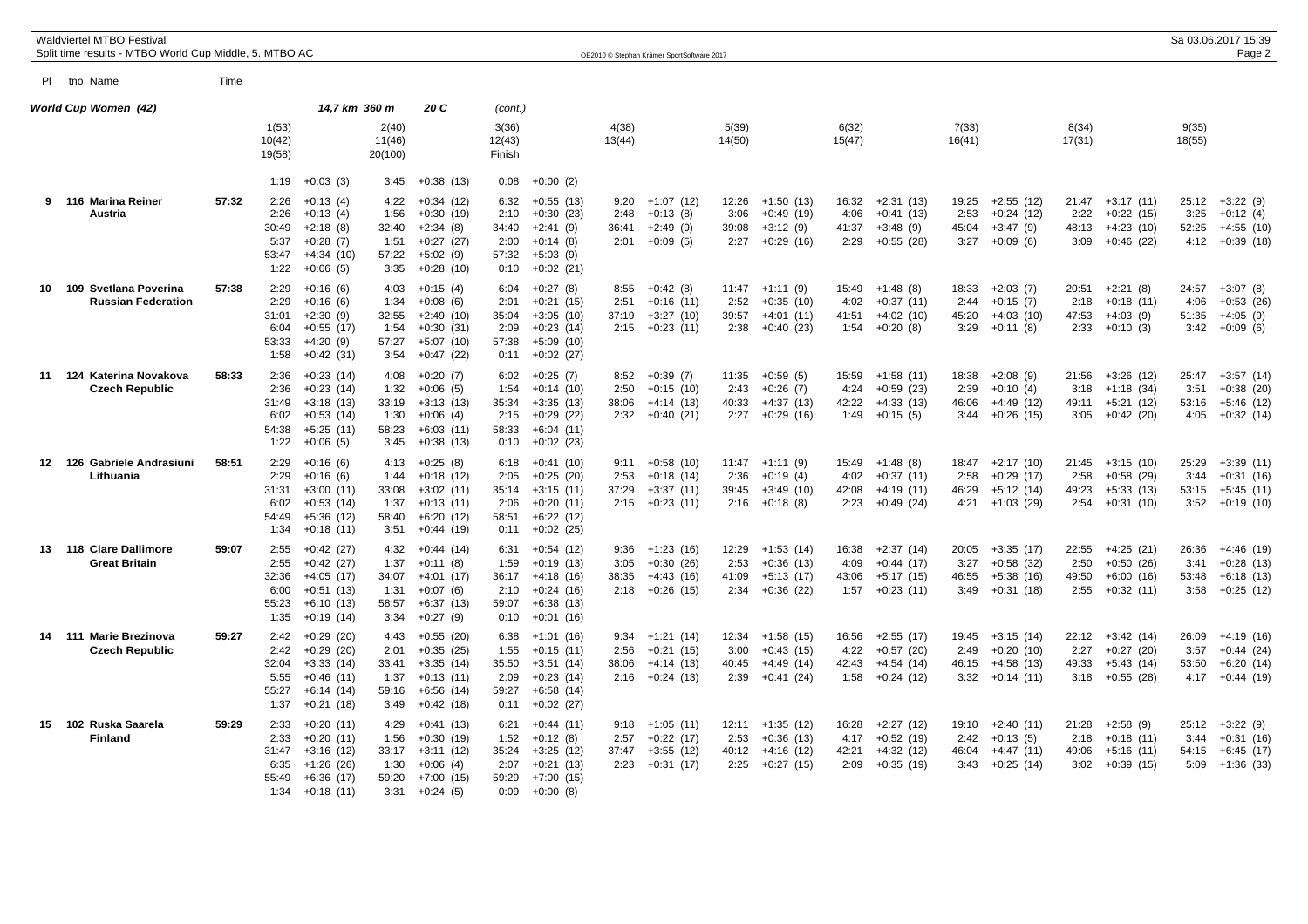| <b>Waldviertel MTBO Festival</b><br>Split time results - MTBO World Cup Middle, 5. MTBO AC |       |                                                |                                                                                        |                                                |                                                                                       |                                                |                                                                                        |                               | OE2010 © Stephan Krämer SportSoftware 2017                    |                                |                                                          |                                |                                                          |                                |                                                          |                                |                                                               |                                | Sa 03.06.2017 15:39<br>Page 2                              |
|--------------------------------------------------------------------------------------------|-------|------------------------------------------------|----------------------------------------------------------------------------------------|------------------------------------------------|---------------------------------------------------------------------------------------|------------------------------------------------|----------------------------------------------------------------------------------------|-------------------------------|---------------------------------------------------------------|--------------------------------|----------------------------------------------------------|--------------------------------|----------------------------------------------------------|--------------------------------|----------------------------------------------------------|--------------------------------|---------------------------------------------------------------|--------------------------------|------------------------------------------------------------|
| PI tho Name                                                                                | Time  |                                                |                                                                                        |                                                |                                                                                       |                                                |                                                                                        |                               |                                                               |                                |                                                          |                                |                                                          |                                |                                                          |                                |                                                               |                                |                                                            |
| World Cup Women (42)                                                                       |       |                                                | 14,7 km 360 m                                                                          |                                                | 20 C                                                                                  | (cont.)                                        |                                                                                        |                               |                                                               |                                |                                                          |                                |                                                          |                                |                                                          |                                |                                                               |                                |                                                            |
|                                                                                            |       | 1(53)<br>10(42)<br>19(58)                      |                                                                                        | 2(40)<br>11(46)<br>20(100)                     |                                                                                       | 3(36)<br>12(43)<br>Finish                      |                                                                                        | 4(38)<br>13(44)               |                                                               | 5(39)<br>14(50)                |                                                          | 6(32)<br>15(47)                |                                                          | 7(33)<br>16(41)                |                                                          | 8(34)<br>17(31)                |                                                               | 9(35)<br>18(55)                |                                                            |
|                                                                                            |       | 1:19                                           | $+0:03(3)$                                                                             | 3:45                                           | $+0:38(13)$                                                                           | 0:08                                           | $+0:00(2)$                                                                             |                               |                                                               |                                |                                                          |                                |                                                          |                                |                                                          |                                |                                                               |                                |                                                            |
| 9 116 Marina Reiner<br><b>Austria</b>                                                      | 57:32 | 2:26<br>2:26<br>30:49<br>5:37<br>53:47<br>1:22 | $+0:13(4)$<br>$+0:13(4)$<br>$+2:18(8)$<br>$+0:28(7)$<br>$+4:34(10)$<br>$+0:06(5)$      | 4:22<br>1:56<br>32:40<br>1:51<br>57:22<br>3:35 | $+0:34(12)$<br>$+0:30(19)$<br>$+2:34(8)$<br>$+0:27(27)$<br>$+5:02(9)$<br>$+0:28(10)$  | 6:32<br>2:10<br>34:40<br>2:00<br>57:32<br>0:10 | $+0:55(13)$<br>$+0:30(23)$<br>$+2:41(9)$<br>$+0:14(8)$<br>$+5:03(9)$<br>$+0:02(21)$    | 9:20<br>2:48<br>36:41<br>2:01 | $+1:07(12)$<br>$+0:13(8)$<br>$+2:49(9)$<br>$+0:09(5)$         | 12:26<br>3:06<br>39:08<br>2:27 | $+1:50(13)$<br>$+0.49(19)$<br>$+3:12(9)$<br>$+0:29(16)$  | 16:32<br>4:06<br>41:37<br>2:29 | $+2:31(13)$<br>$+0:41(13)$<br>$+3:48(9)$<br>$+0:55(28)$  | 19:25<br>2:53<br>45:04<br>3:27 | $+2:55(12)$<br>$+0:24(12)$<br>$+3:47(9)$<br>$+0.09(6)$   | 21:47<br>2:22<br>48:13<br>3:09 | $+3:17(11)$<br>$+0:22(15)$<br>$+4:23(10)$<br>$+0.46(22)$      | 25:12<br>3:25<br>52:25<br>4:12 | $+3:22(9)$<br>$+0:12(4)$<br>$+4:55(10)$<br>$+0:39(18)$     |
| 10 109 Svetlana Poverina<br><b>Russian Federation</b>                                      | 57:38 | 2:29<br>2:29<br>31:01<br>6:04<br>53:33<br>1:58 | $+0:16(6)$<br>$+0:16(6)$<br>$+2:30(9)$<br>$+0:55(17)$<br>$+4:20(9)$<br>$+0:42(31)$     | 4:03<br>1:34<br>32:55<br>1:54<br>57:27<br>3:54 | $+0:15(4)$<br>$+0:08(6)$<br>$+2:49(10)$<br>$+0:30(31)$<br>$+5:07(10)$<br>$+0:47(22)$  | 6:04<br>2:01<br>35:04<br>2:09<br>57:38<br>0:11 | $+0:27(8)$<br>$+0:21(15)$<br>$+3:05(10)$<br>$+0:23(14)$<br>$+5:09(10)$<br>$+0:02(27)$  | 8:55<br>2:51<br>37:19         | $+0:42(8)$<br>$+0:16(11)$<br>$+3:27(10)$<br>$2:15 + 0:23(11)$ | 11:47<br>2:52<br>39:57<br>2:38 | $+1:11(9)$<br>$+0:35(10)$<br>$+4:01(11)$<br>$+0:40(23)$  | 15:49<br>4:02<br>41:51<br>1:54 | $+1:48(8)$<br>$+0:37(11)$<br>$+4:02(10)$<br>$+0:20(8)$   | 18:33<br>2:44<br>45:20<br>3:29 | $+2:03(7)$<br>$+0:15(7)$<br>$+4:03(10)$<br>$+0:11(8)$    | 20:51<br>2:18<br>47:53<br>2:33 | $+2:21(8)$<br>$+0:18(11)$<br>$+4:03(9)$<br>$+0:10(3)$         | 24:57<br>4:06<br>51:35         | $+3:07(8)$<br>$+0:53(26)$<br>$+4:05(9)$<br>$3:42 +0:09(6)$ |
| 11 124 Katerina Novakova<br><b>Czech Republic</b>                                          | 58:33 | 2:36<br>2:36<br>31:49<br>6:02<br>54:38<br>1:22 | $+0:23(14)$<br>$+0:23(14)$<br>$+3:18(13)$<br>$+0:53(14)$<br>$+5:25(11)$<br>$+0:06(5)$  | 4:08<br>1:32<br>33:19<br>1:30<br>58:23<br>3:45 | $+0:20(7)$<br>$+0:06(5)$<br>$+3:13(13)$<br>$+0:06(4)$<br>$+6:03(11)$<br>$+0:38(13)$   | 6:02<br>1:54<br>35:34<br>2:15<br>58:33<br>0:10 | $+0:25(7)$<br>$+0:14(10)$<br>$+3:35(13)$<br>$+0:29(22)$<br>$+6:04(11)$<br>$+0:02(23)$  | 8:52<br>2:50<br>38:06<br>2:32 | $+0:39(7)$<br>$+0:15(10)$<br>$+4:14(13)$<br>$+0:40(21)$       | 11:35<br>2:43<br>40:33<br>2:27 | $+0:59(5)$<br>$+0:26(7)$<br>$+4:37(13)$<br>$+0:29(16)$   | 15:59<br>4:24<br>42:22<br>1:49 | $+1:58(11)$<br>$+0.59(23)$<br>$+4:33(13)$<br>$+0:15(5)$  | 18:38<br>2:39<br>46:06<br>3:44 | $+2:08(9)$<br>$+0:10(4)$<br>$+4:49(12)$<br>+0:26 (15)    | 21:56<br>3:18<br>49:11<br>3:05 | $+3:26(12)$<br>$+1:18(34)$<br>$+5:21(12)$<br>$+0:42(20)$      | 25:47<br>3:51<br>53:16<br>4:05 | $+3:57(14)$<br>$+0:38(20)$<br>+5:46 (12)<br>$+0:32(14)$    |
| 12 126 Gabriele Andrasiuni<br>Lithuania                                                    | 58:51 | 2:29<br>2:29<br>31:31<br>6:02<br>54:49<br>1:34 | $+0:16(6)$<br>$+0:16(6)$<br>$+3:00(11)$<br>$+0:53(14)$<br>$+5:36(12)$<br>$+0:18(11)$   | 4:13<br>1:44<br>33:08<br>1:37<br>58:40<br>3:51 | $+0:25(8)$<br>$+0:18(12)$<br>$+3:02(11)$<br>$+0:13(11)$<br>$+6:20(12)$<br>$+0:44(19)$ | 6:18<br>2:05<br>35:14<br>2:06<br>58:51<br>0:11 | $+0:41(10)$<br>$+0:25(20)$<br>$+3:15(11)$<br>$+0:20(11)$<br>$+6:22(12)$<br>$+0:02(25)$ | 9:11<br>2:53<br>37:29<br>2:15 | $+0:58(10)$<br>$+0:18(14)$<br>$+3:37(11)$<br>$+0:23(11)$      | 11:47<br>2:36<br>39:45<br>2:16 | $+1:11(9)$<br>$+0:19(4)$<br>$+3:49(10)$<br>$+0:18(8)$    | 15:49<br>4:02<br>42:08<br>2:23 | $+1:48(8)$<br>$+0:37(11)$<br>$+4:19(11)$<br>$+0:49(24)$  | 18:47<br>2:58<br>46:29<br>4:21 | $+2:17(10)$<br>$+0:29(17)$<br>$+5:12(14)$<br>$+1:03(29)$ | 21:45<br>2:58<br>49:23<br>2:54 | $+3:15(10)$<br>$+0.58(29)$<br>$+5:33(13)$<br>$+0:31(10)$      | 25:29<br>3:44<br>53:15<br>3:52 | $+3:39(11)$<br>$+0:31(16)$<br>$+5:45(11)$<br>$+0:19(10)$   |
| 13 118 Clare Dallimore<br><b>Great Britain</b>                                             | 59:07 | 2:55<br>2:55<br>32:36<br>6:00<br>55:23<br>1:35 | $+0:42(27)$<br>$+0:42(27)$<br>$+4:05(17)$<br>$+0:51(13)$<br>$+6:10(13)$<br>$+0:19(14)$ | 4:32<br>1:37<br>34:07<br>1:31<br>58:57<br>3:34 | $+0:44(14)$<br>$+0:11(8)$<br>$+4:01(17)$<br>$+0:07(6)$<br>$+6:37(13)$<br>$+0:27(9)$   | 6:31<br>1:59<br>36:17<br>2:10<br>59:07<br>0:10 | $+0:54(12)$<br>$+0:19(13)$<br>$+4:18(16)$<br>$+0:24(16)$<br>$+6:38(13)$<br>$+0:01(16)$ | 9:36<br>3:05<br>38:35<br>2:18 | $+1:23(16)$<br>$+0:30(26)$<br>$+4:43(16)$<br>$+0:26(15)$      | 12:29<br>2:53<br>41:09<br>2:34 | $+1:53(14)$<br>$+0:36(13)$<br>$+5:13(17)$<br>$+0:36(22)$ | 16:38<br>4:09<br>43:06<br>1:57 | $+2:37(14)$<br>$+0:44(17)$<br>$+5:17(15)$<br>$+0:23(11)$ | 20:05<br>3:27<br>46:55<br>3:49 | $+3:35(17)$<br>$+0:58(32)$<br>$+5:38(16)$<br>$+0:31(18)$ | 22:55<br>2:50<br>49:50<br>2:55 | $+4:25(21)$<br>$+0:50(26)$<br>$+6:00(16)$<br>$+0:32(11)$      | 26:36<br>3:41<br>53:48<br>3:58 | $+4:46(19)$<br>$+0:28(13)$<br>$+6:18(13)$<br>$+0:25(12)$   |
| 14 111 Marie Brezinova<br><b>Czech Republic</b>                                            | 59:27 | 2:42<br>2:42<br>32:04<br>5:55<br>55:27<br>1:37 | $+0:29(20)$<br>$+0:29(20)$<br>$+3:33(14)$<br>$+0:46(11)$<br>$+6:14(14)$<br>$+0:21(18)$ | 4:43<br>2:01<br>33:41<br>1:37<br>59:16<br>3:49 | $+0:55(20)$<br>$+0:35(25)$<br>$+3:35(14)$<br>$+0:13(11)$<br>+6:56 (14)<br>$+0:42(18)$ | 6:38<br>1:55<br>35:50<br>2:09<br>59:27<br>0:11 | $+1:01(16)$<br>$+0:15(11)$<br>$+3:51(14)$<br>$+0:23(14)$<br>$+6:58(14)$<br>$+0:02(27)$ | 9:34<br>2:56<br>38:06<br>2:16 | $+1:21(14)$<br>$+0:21(15)$<br>$+4:14(13)$<br>$+0:24(13)$      | 12:34<br>3:00<br>40:45<br>2:39 | $+1:58(15)$<br>$+0:43(15)$<br>$+4:49(14)$<br>$+0:41(24)$ | 16:56<br>4:22<br>42:43<br>1:58 | $+2:55(17)$<br>$+0:57(20)$<br>$+4:54(14)$<br>$+0:24(12)$ | 19:45<br>2:49<br>46:15<br>3:32 | $+3:15(14)$<br>$+0:20(10)$<br>+4:58 (13)<br>+0:14 (11)   | 2:27<br>49:33<br>3:18          | $22:12 +3:42(14)$<br>$+0:27(20)$<br>+5:43 (14)<br>$+0:55(28)$ | 26:09<br>3:57<br>53:50<br>4:17 | $+4:19(16)$<br>$+0:44(24)$<br>$+6:20(14)$<br>$+0:44(19)$   |
| 15 102 Ruska Saarela<br><b>Finland</b>                                                     | 59:29 | 2:33<br>2:33<br>31:47<br>6:35<br>55:49<br>1:34 | $+0:20(11)$<br>$+0:20(11)$<br>$+3:16(12)$<br>$+1:26(26)$<br>$+6:36(17)$<br>$+0:18(11)$ | 4:29<br>1:56<br>33:17<br>1:30<br>59:20<br>3:31 | $+0:41(13)$<br>$+0:30(19)$<br>$+3:11(12)$<br>$+0:06(4)$<br>$+7:00(15)$<br>$+0:24(5)$  | 6:21<br>1:52<br>35:24<br>2:07<br>59:29<br>0:09 | $+0:44(11)$<br>$+0:12(8)$<br>$+3:25(12)$<br>$+0:21(13)$<br>$+7:00(15)$<br>$+0:00(8)$   | 9:18<br>2:57<br>37:47<br>2:23 | $+1:05(11)$<br>$+0:22$ (17)<br>$+3:55(12)$<br>$+0:31(17)$     | 12:11<br>2:53<br>40:12<br>2:25 | $+1:35(12)$<br>$+0.36(13)$<br>+4:16 (12)<br>$+0:27(15)$  | 16:28<br>4:17<br>42:21<br>2:09 | $+2:27(12)$<br>$+0:52(19)$<br>$+4:32(12)$<br>$+0:35(19)$ | 19:10<br>2:42<br>46:04<br>3:43 | +2:40 (11)<br>$+0:13(5)$<br>+4:47 (11)<br>$+0:25(14)$    | 21:28<br>2:18<br>49:06<br>3:02 | $+2:58(9)$<br>$+0:18(11)$<br>+5:16 (11)<br>$+0:39(15)$        | 25:12<br>3:44<br>54:15<br>5:09 | $+3:22(9)$<br>$+0:31(16)$<br>+6:45 (17)<br>$+1:36(33)$     |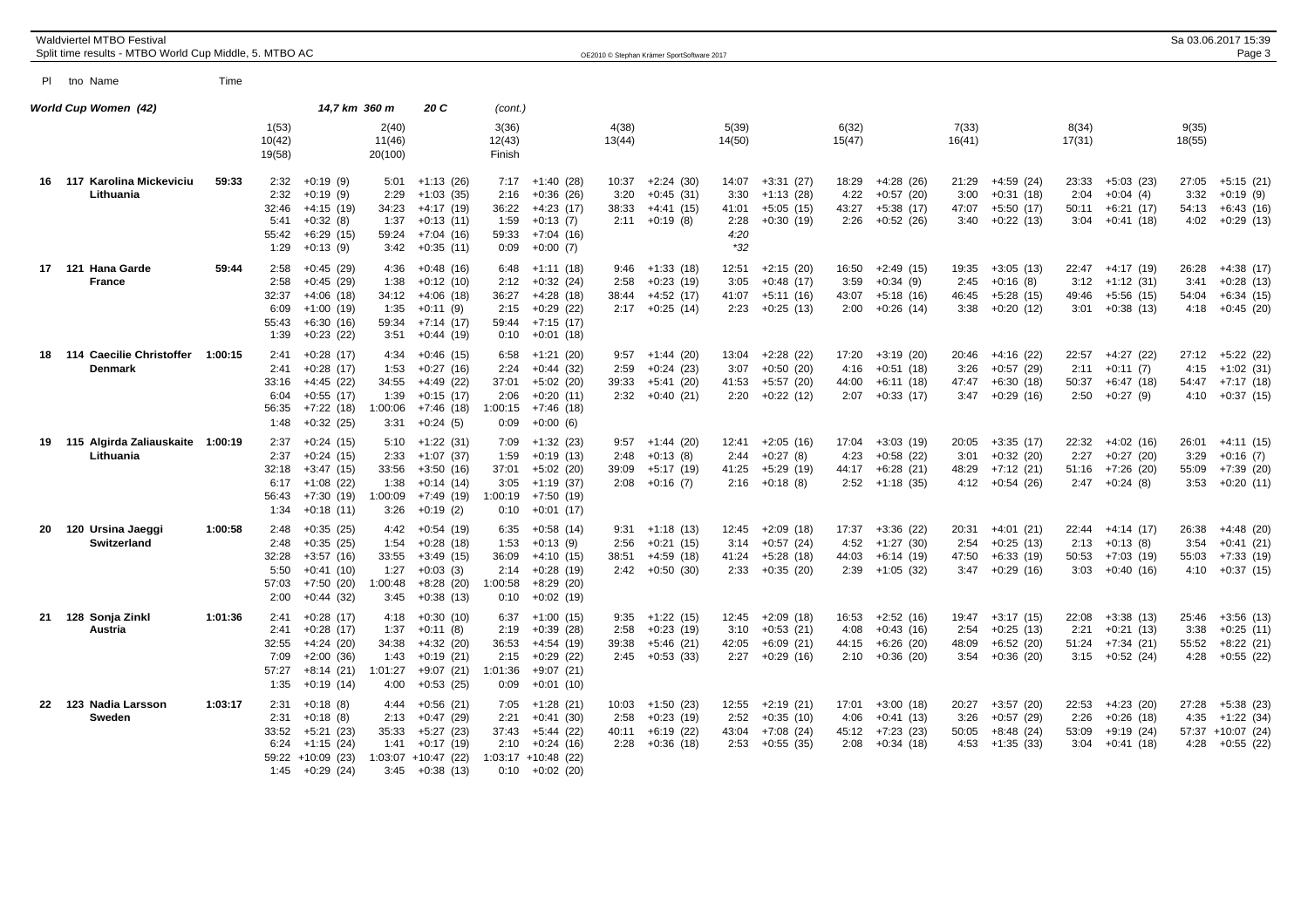|    | Waldviertel MTBO Festival<br>Split time results - MTBO World Cup Middle, 5. MTBO AC |         |                                                |                                                                                           |                                                  |                                                                                         |                                                  |                                                                                                            |                                | OE2010 © Stephan Krämer SportSoftware 2017               |                                               |                                                              |                                |                                                          |                                |                                                          |                                |                                                              |                                | Sa 03.06.2017 15:39<br>Page 3                                  |
|----|-------------------------------------------------------------------------------------|---------|------------------------------------------------|-------------------------------------------------------------------------------------------|--------------------------------------------------|-----------------------------------------------------------------------------------------|--------------------------------------------------|------------------------------------------------------------------------------------------------------------|--------------------------------|----------------------------------------------------------|-----------------------------------------------|--------------------------------------------------------------|--------------------------------|----------------------------------------------------------|--------------------------------|----------------------------------------------------------|--------------------------------|--------------------------------------------------------------|--------------------------------|----------------------------------------------------------------|
|    | PI tho Name                                                                         | Time    |                                                |                                                                                           |                                                  |                                                                                         |                                                  |                                                                                                            |                                |                                                          |                                               |                                                              |                                |                                                          |                                |                                                          |                                |                                                              |                                |                                                                |
|    | World Cup Women (42)                                                                |         |                                                | 14,7 km 360 m                                                                             |                                                  | 20 C                                                                                    | (cont.)                                          |                                                                                                            |                                |                                                          |                                               |                                                              |                                |                                                          |                                |                                                          |                                |                                                              |                                |                                                                |
|    |                                                                                     |         | 1(53)<br>10(42)<br>19(58)                      |                                                                                           | 2(40)<br>11(46)<br>20(100)                       |                                                                                         | 3(36)<br>12(43)<br>Finish                        |                                                                                                            | 4(38)<br>13(44)                |                                                          | 5(39)<br>14(50)                               |                                                              | 6(32)<br>15(47)                |                                                          | 7(33)<br>16(41)                |                                                          | 8(34)<br>17(31)                |                                                              | 9(35)<br>18(55)                |                                                                |
|    | 16 117 Karolina Mickeviciu<br>Lithuania                                             | 59:33   | 2:32<br>2:32<br>32:46<br>5:41<br>55:42<br>1:29 | $+0:19(9)$<br>$+0:19(9)$<br>$+4:15(19)$<br>$+0:32(8)$<br>$+6:29(15)$<br>$+0:13(9)$        | 5:01<br>2:29<br>34:23<br>1:37<br>59:24<br>3:42   | +1:13 (26)<br>$+1:03(35)$<br>$+4:17(19)$<br>$+0:13(11)$<br>$+7:04(16)$<br>$+0:35(11)$   | 2:16<br>36:22<br>1:59<br>59:33<br>0:09           | $7:17 +1:40(28)$<br>$+0:36(26)$<br>$+4:23(17)$<br>$+0:13(7)$<br>$+7:04(16)$<br>$+0:00(7)$                  | 10:37<br>3:20<br>38:33<br>2:11 | $+2:24(30)$<br>$+0:45(31)$<br>$+4:41(15)$<br>$+0:19(8)$  | 14:07<br>3:30<br>41:01<br>2:28<br>4:20<br>*32 | $+3:31(27)$<br>$+1:13(28)$<br>$+5:05(15)$<br>$+0:30(19)$     | 18:29<br>4:22<br>43:27<br>2:26 | $+4:28(26)$<br>$+0:57(20)$<br>$+5:38(17)$<br>$+0:52(26)$ | 21:29<br>3:00<br>47:07<br>3:40 | +4:59 (24)<br>$+0:31(18)$<br>$+5:50(17)$<br>$+0:22(13)$  | 23:33<br>2:04<br>50:11<br>3:04 | $+5:03(23)$<br>$+0:04(4)$<br>$+6:21(17)$<br>$+0:41(18)$      | 27:05<br>3:32<br>54:13<br>4:02 | $+5:15(21)$<br>$+0:19(9)$<br>$+6:43(16)$<br>$+0:29(13)$        |
|    | 17 121 Hana Garde<br><b>France</b>                                                  | 59:44   | 2:58<br>2:58<br>32:37<br>6:09<br>55:43<br>1:39 | $+0:45(29)$<br>$+0:45(29)$<br>$+4:06(18)$<br>$+1:00(19)$<br>$+6:30(16)$<br>$+0:23(22)$    | 4:36<br>1:38<br>34:12<br>1:35<br>59:34<br>3:51   | $+0:48(16)$<br>$+0:12(10)$<br>$+4:06(18)$<br>$+0:11(9)$<br>$+7:14(17)$<br>+0:44 (19)    | 6:48<br>2:12<br>36:27<br>2:15<br>0:10            | +1:11 (18)<br>$+0:32(24)$<br>$+4:28(18)$<br>$+0:29(22)$<br>$59:44$ +7:15 (17)<br>$+0:01(18)$               | 9:46<br>2:58<br>38:44<br>2:17  | $+1:33(18)$<br>$+0:23(19)$<br>$+4:52(17)$<br>$+0:25(14)$ | 12:51<br>3:05<br>41:07<br>2:23                | $+2:15(20)$<br>$+0:48(17)$<br>$+5:11(16)$<br>$+0:25(13)$     | 16:50<br>3:59<br>43:07<br>2:00 | $+2:49(15)$<br>$+0:34(9)$<br>$+5:18(16)$<br>$+0:26(14)$  | 19:35<br>2:45<br>46:45<br>3:38 | $+3:05(13)$<br>$+0:16(8)$<br>$+5:28(15)$<br>$+0:20(12)$  | 22:47<br>3:12<br>49:46<br>3:01 | $+4:17(19)$<br>$+1:12(31)$<br>$+5:56(15)$<br>$+0:38(13)$     | 26:28<br>3:41<br>54:04<br>4:18 | $+4:38(17)$<br>$+0:28(13)$<br>$+6:34(15)$<br>$+0:45(20)$       |
|    | 18 114 Caecilie Christoffer<br><b>Denmark</b>                                       | 1:00:15 | 2:41<br>2:41<br>33:16<br>6:04<br>56:35<br>1:48 | $+0:28(17)$<br>$+0:28(17)$<br>+4:45 (22)<br>$+0:55(17)$<br>$+7:22(18)$<br>$+0:32(25)$     | 4:34<br>1:53<br>34:55<br>1:39<br>1:00:06<br>3:31 | $+0:46(15)$<br>$+0:27(16)$<br>$+4:49(22)$<br>$+0:15(17)$<br>$+7:46(18)$<br>$+0:24(5)$   | 6:58<br>2:24<br>37:01<br>2:06<br>:00:15<br>0:09  | $+1:21(20)$<br>$+0:44(32)$<br>$+5:02(20)$<br>+0:20 (11)<br>$+7:46(18)$<br>$+0:00(6)$                       | 9:57<br>2:59<br>39:33<br>2:32  | $+1:44(20)$<br>$+0:24(23)$<br>$+5:41(20)$<br>$+0:40(21)$ | 13:04<br>3:07<br>41:53<br>2:20                | $+2:28(22)$<br>$+0:50(20)$<br>$+5:57(20)$<br>$+0:22(12)$     | 17:20<br>4:16<br>44:00<br>2:07 | $+3:19(20)$<br>$+0:51(18)$<br>$+6:11(18)$<br>$+0:33(17)$ | 20:46<br>3:26<br>47:47<br>3:47 | $+4:16(22)$<br>$+0:57(29)$<br>$+6:30(18)$<br>$+0:29(16)$ | 22:57<br>2:11<br>50:37<br>2:50 | $+4:27(22)$<br>$+0:11(7)$<br>$+6:47(18)$<br>$+0:27(9)$       | 27:12<br>4:15<br>54:47<br>4:10 | $+5:22(22)$<br>$+1:02(31)$<br>$+7:17(18)$<br>$+0:37(15)$       |
|    | 19 115 Algirda Zaliauskaite 1:00:19<br>Lithuania                                    |         | 2:37<br>2:37<br>32:18<br>6:17<br>56:43<br>1:34 | $+0:24(15)$<br>$+0:24(15)$<br>$+3:47(15)$<br>$+1:08(22)$<br>+7:30 (19)<br>$+0:18(11)$     | 5:10<br>2:33<br>33:56<br>1:38<br>1:00:09<br>3:26 | $+1:22(31)$<br>$+1:07(37)$<br>$+3:50(16)$<br>$+0:14(14)$<br>+7:49 (19)<br>$+0:19(2)$    | 1:59<br>37:01<br>3:05<br>:00:19<br>0:10          | $7:09$ +1:32 (23)<br>$+0:19(13)$<br>$+5:02(20)$<br>$+1:19(37)$<br>+7:50 (19)<br>$+0:01(17)$                | 9:57<br>2:48<br>39:09<br>2:08  | $+1:44(20)$<br>$+0:13(8)$<br>+5:17 (19)<br>$+0:16(7)$    | 12:41<br>2:44<br>41:25                        | $+2:05(16)$<br>$+0:27(8)$<br>$+5:29(19)$<br>$2:16 + 0:18(8)$ | 17:04<br>4:23<br>44:17<br>2:52 | $+3:03(19)$<br>$+0.58(22)$<br>$+6:28(21)$<br>$+1:18(35)$ | 20:05<br>3:01<br>48:29<br>4:12 | $+3:35(17)$<br>$+0:32(20)$<br>$+7:12(21)$<br>$+0.54(26)$ | 22:32<br>2:27<br>51:16         | $+4:02(16)$<br>$+0:27(20)$<br>$+7:26(20)$<br>$2:47 +0:24(8)$ | 26:01<br>3:29<br>55:09<br>3:53 | $+4:11(15)$<br>$+0:16(7)$<br>$+7:39(20)$<br>$+0:20(11)$        |
| 20 | 120 Ursina Jaeggi<br><b>Switzerland</b>                                             | 1:00:58 | 2:48<br>2:48<br>32:28<br>5:50<br>57:03<br>2:00 | $+0:35(25)$<br>$+0:35(25)$<br>$+3:57(16)$<br>$+0:41(10)$<br>$+7:50(20)$<br>$+0:44(32)$    | 4:42<br>1:54<br>33:55<br>1:27<br>1:00:48<br>3:45 | $+0:54(19)$<br>$+0:28(18)$<br>$+3:49(15)$<br>$+0:03(3)$<br>$+8:28(20)$<br>$+0:38(13)$   | 6:35<br>1:53<br>36:09<br>2:14<br>:00:58<br>0:10  | $+0.58(14)$<br>$+0:13(9)$<br>$+4:10(15)$<br>$+0:28(19)$<br>$+8:29(20)$<br>$+0:02(19)$                      | 9:31<br>2:56<br>38:51<br>2:42  | $+1:18(13)$<br>$+0:21(15)$<br>$+4:59(18)$<br>$+0:50(30)$ | 12:45<br>3:14<br>41:24<br>2:33                | $+2:09(18)$<br>$+0:57(24)$<br>$+5:28(18)$<br>$+0:35(20)$     | 17:37<br>4:52<br>44:03<br>2:39 | $+3:36(22)$<br>$+1:27(30)$<br>$+6:14(19)$<br>$+1:05(32)$ | 20:31<br>2:54<br>47:50<br>3:47 | $+4:01(21)$<br>$+0:25(13)$<br>$+6:33(19)$<br>$+0:29(16)$ | 22:44<br>2:13<br>50:53<br>3:03 | $+4:14(17)$<br>$+0:13(8)$<br>$+7:03(19)$<br>$+0:40(16)$      | 26:38<br>3:54<br>55:03<br>4:10 | $+4:48(20)$<br>$+0:41(21)$<br>$+7:33(19)$<br>$+0:37(15)$       |
| 21 | 128 Sonja Zinkl<br>Austria                                                          | 1:01:36 | 2:41<br>2:41<br>32:55<br>7:09<br>57:27<br>1:35 | $+0:28(17)$<br>$+0:28(17)$<br>$+4:24(20)$<br>$+2:00(36)$<br>$+8:14(21)$<br>$+0:19(14)$    | 4:18<br>1:37<br>34:38<br>1:43<br>1:01:27<br>4:00 | $+0:30(10)$<br>$+0:11(8)$<br>$+4:32(20)$<br>$+0:19(21)$<br>+9:07 (21)<br>$+0:53(25)$    | 6:37<br>2:19<br>36:53<br>2:15<br>1:01:36<br>0:09 | $+1:00(15)$<br>$+0:39(28)$<br>$+4:54(19)$<br>$+0.29(22)$<br>+9:07 (21)<br>$+0:01(10)$                      | 9:35<br>2:58<br>39:38<br>2:45  | $+1:22(15)$<br>$+0:23(19)$<br>$+5:46(21)$<br>$+0:53(33)$ | 12:45<br>3:10<br>42:05<br>2:27                | $+2:09(18)$<br>$+0:53(21)$<br>$+6:09(21)$<br>$+0.29(16)$     | 16:53<br>4:08<br>44:15<br>2:10 | $+2:52(16)$<br>$+0:43(16)$<br>$+6:26(20)$<br>$+0:36(20)$ | 19:47<br>2:54<br>48:09<br>3:54 | $+3:17(15)$<br>$+0:25(13)$<br>$+6:52(20)$<br>$+0:36(20)$ | 22:08<br>2:21<br>51:24<br>3:15 | $+3:38(13)$<br>$+0:21(13)$<br>$+7:34(21)$<br>$+0:52(24)$     | 25:46<br>3:38<br>55:52<br>4:28 | $+3:56(13)$<br>$+0:25(11)$<br>$+8:22$ (21)<br>$+0:55(22)$      |
|    | 22 123 Nadia Larsson<br>Sweden                                                      | 1:03:17 | 2:31<br>2:31<br>33:52<br>6:24<br>1:45          | $+0:18(8)$<br>$+0:18(8)$<br>$+5:21(23)$<br>$+1:15(24)$<br>59:22 +10:09 (23)<br>+0:29 (24) | 4:44<br>2:13<br>35:33<br>1:41<br>1:03:07<br>3:45 | $+0:56(21)$<br>$+0:47(29)$<br>$+5:27(23)$<br>$+0:17(19)$<br>$+10:47(22)$<br>$+0:38(13)$ | 2:21<br>37:43<br>2:10                            | $7:05 +1:28(21)$<br>$+0:41(30)$<br>+5:44 (22)<br>+0:24 (16)<br>$1:03:17 + 10:48$ (22)<br>$0:10 + 0:02(20)$ | 10:03<br>2:58<br>40:11<br>2:28 | $+1:50(23)$<br>$+0:23(19)$<br>$+6:19(22)$<br>$+0:36(18)$ | 12:55<br>2:52<br>43:04<br>2:53                | $+2:19(21)$<br>$+0:35(10)$<br>+7:08 (24)<br>$+0:55(35)$      | 17:01<br>4:06<br>45:12<br>2:08 | $+3:00(18)$<br>$+0:41(13)$<br>+7:23 (23)<br>$+0:34(18)$  | 20:27<br>3:26<br>50:05<br>4:53 | $+3:57(20)$<br>$+0:57(29)$<br>+8:48 (24)<br>$+1:35(33)$  | 22:53<br>2:26<br>53:09<br>3:04 | $+4:23(20)$<br>$+0.26(18)$<br>$+9:19(24)$<br>$+0:41(18)$     | 27:28<br>4:35<br>4:28          | $+5:38(23)$<br>$+1:22(34)$<br>57:37 +10:07 (24)<br>$+0:55(22)$ |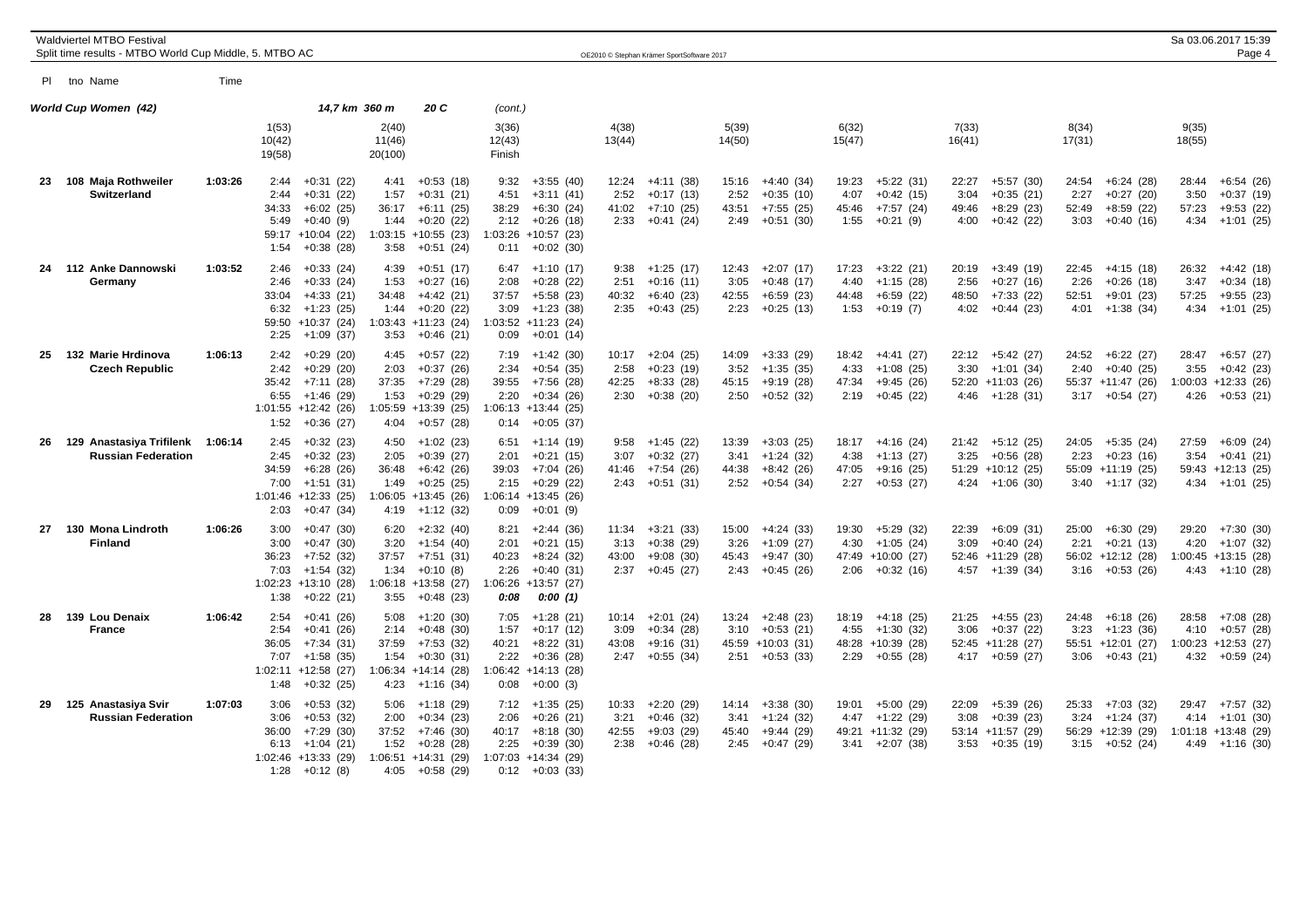|    | Waldviertel MTBO Festival<br>Split time results - MTBO World Cup Middle, 5. MTBO AC |         |                                                                                                                                            |                                                  |                                                                                                  |                                       |                                                                                                           |                                | OE2010 © Stephan Krämer SportSoftware 2017               |                                |                                                               |                                |                                                                      |                                                                                            |                                |                                                                               |                                | Sa 03.06.2017 15:39<br>Page 4                                           |
|----|-------------------------------------------------------------------------------------|---------|--------------------------------------------------------------------------------------------------------------------------------------------|--------------------------------------------------|--------------------------------------------------------------------------------------------------|---------------------------------------|-----------------------------------------------------------------------------------------------------------|--------------------------------|----------------------------------------------------------|--------------------------------|---------------------------------------------------------------|--------------------------------|----------------------------------------------------------------------|--------------------------------------------------------------------------------------------|--------------------------------|-------------------------------------------------------------------------------|--------------------------------|-------------------------------------------------------------------------|
|    | PI tho Name                                                                         | Time    |                                                                                                                                            |                                                  |                                                                                                  |                                       |                                                                                                           |                                |                                                          |                                |                                                               |                                |                                                                      |                                                                                            |                                |                                                                               |                                |                                                                         |
|    | World Cup Women (42)                                                                |         |                                                                                                                                            | 14,7 km 360 m                                    | 20 C                                                                                             | (cont.)                               |                                                                                                           |                                |                                                          |                                |                                                               |                                |                                                                      |                                                                                            |                                |                                                                               |                                |                                                                         |
|    |                                                                                     |         | 1(53)<br>10(42)<br>19(58)                                                                                                                  | 2(40)<br>11(46)<br>20(100)                       |                                                                                                  | 3(36)<br>12(43)<br>Finish             |                                                                                                           | 4(38)<br>13(44)                |                                                          | 5(39)<br>14(50)                |                                                               | 6(32)<br>15(47)                |                                                                      | 7(33)<br>16(41)                                                                            | 8(34)<br>17(31)                |                                                                               | 9(35)<br>18(55)                |                                                                         |
|    | 23 108 Maja Rothweiler<br>Switzerland                                               | 1:03:26 | $+0:31(22)$<br>2:44<br>$+0:31(22)$<br>2:44<br>34:33<br>$+6:02(25)$<br>5:49<br>$+0:40(9)$<br>59:17 +10:04 (22)<br>$+0:38(28)$<br>1:54       | 4:41<br>1:57<br>36:17<br>1:44<br>1:03:15<br>3:58 | $+0:53(18)$<br>$+0:31(21)$<br>$+6:11(25)$<br>$+0:20(22)$<br>$+10:55(23)$<br>$+0:51(24)$          | 9:32<br>4:51<br>38:29<br>2:12<br>0:11 | $+3:55(40)$<br>$+3:11(41)$<br>$+6:30(24)$<br>+0:26 (18)<br>1:03:26 +10:57 (23)<br>$+0:02(30)$             | 12:24<br>2:52<br>41:02<br>2:33 | +4:11 (38)<br>$+0:17(13)$<br>$+7:10(25)$<br>$+0:41(24)$  | 15:16<br>2:52<br>43:51<br>2:49 | $+4:40(34)$<br>$+0:35(10)$<br>$+7:55(25)$<br>$+0:51(30)$      | 19:23<br>4:07<br>45:46<br>1:55 | $+5:22(31)$<br>$+0.42(15)$<br>$+7:57(24)$<br>$+0:21(9)$              | $+5:57(30)$<br>22:27<br>3:04<br>$+0:35(21)$<br>49:46<br>$+8:29(23)$<br>$+0:42(22)$<br>4:00 | 24:54<br>2:27<br>52:49<br>3:03 | $+6:24(28)$<br>$+0:27(20)$<br>$+8:59(22)$<br>$+0:40(16)$                      | 28:44<br>3:50<br>57:23<br>4:34 | $+6:54(26)$<br>$+0:37(19)$<br>$+9:53(22)$<br>+1:01 (25)                 |
| 24 | 112 Anke Dannowski<br>Germany                                                       | 1:03:52 | 2:46<br>$+0:33(24)$<br>2:46<br>$+0:33(24)$<br>33:04<br>$+4:33(21)$<br>6:32<br>+1:23 (25)<br>59:50 +10:37 (24)<br>2:25<br>$+1:09(37)$       | 4:39<br>1:53<br>34:48<br>1:44<br>3:53            | $+0:51(17)$<br>$+0:27(16)$<br>$+4:42(21)$<br>$+0:20(22)$<br>$1:03:43 +11:23$ (24)<br>$+0:46(21)$ | 2:08<br>37:57<br>3:09<br>0:09         | $6:47 +1:10(17)$<br>$+0.28(22)$<br>$+5:58(23)$<br>+1:23 (38)<br>$1:03:52 +11:23$ (24)<br>$+0:01(14)$      | 9:38<br>2:51<br>40:32<br>2:35  | $+1:25(17)$<br>$+0:16(11)$<br>$+6:40(23)$<br>+0:43 (25)  | 12:43<br>3:05<br>42:55<br>2:23 | $+2:07(17)$<br>$+0.48(17)$<br>$+6:59(23)$<br>$+0:25(13)$      | 17:23<br>4:40<br>44:48<br>1:53 | $+3:22(21)$<br>$+1:15(28)$<br>$+6:59(22)$<br>$+0:19(7)$              | 20:19<br>+3:49 (19)<br>2:56<br>$+0:27(16)$<br>48:50<br>$+7:33(22)$<br>4:02<br>+0:44 (23)   | 22:45<br>2:26<br>52:51<br>4:01 | $+4:15(18)$<br>$+0:26(18)$<br>$+9:01(23)$<br>+1:38 (34)                       | 26:32<br>3:47<br>57:25<br>4:34 | +4:42 (18)<br>$+0:34(18)$<br>$+9:55(23)$<br>+1:01 (25)                  |
| 25 | 132 Marie Hrdinova<br><b>Czech Republic</b>                                         | 1:06:13 | 2:42<br>$+0:29(20)$<br>2:42<br>$+0:29(20)$<br>35:42<br>$+7:11(28)$<br>$+1:46(29)$<br>6:55<br>$1:01:55$ +12:42 (26)<br>1:52<br>$+0:36(27)$  | 4:45<br>2:03<br>37:35<br>1:53<br>4:04            | $+0:57(22)$<br>$+0:37(26)$<br>$+7:29(28)$<br>$+0:29(29)$<br>1:05:59 +13:39 (25)<br>$+0:57(28)$   | 7:19<br>2:34<br>39:55<br>2:20         | +1:42 (30)<br>$+0:54(35)$<br>+7:56 (28)<br>$+0:34(26)$<br>$1:06:13 + 13:44$ (25)<br>$0:14$ +0:05 (37)     | 10:17<br>2:58<br>42:25<br>2:30 | $+2:04(25)$<br>$+0:23(19)$<br>$+8:33(28)$<br>$+0:38(20)$ | 14:09<br>3:52<br>45:15<br>2:50 | $+3:33(29)$<br>$+1:35(35)$<br>$+9:19(28)$<br>$+0:52(32)$      | 18:42<br>4:33<br>47:34<br>2:19 | +4:41 (27)<br>$+1:08(25)$<br>$+9:45(26)$<br>$+0:45(22)$              | $22:12 +5:42(27)$<br>3:30<br>+1:01 (34)<br>52:20 +11:03 (26)<br>$4:46 +1:28(31)$           | 2:40                           | $24:52 + 6:22$ (27)<br>$+0:40(25)$<br>55:37 +11:47 (26)<br>$3:17 + 0:54$ (27) | 28:47<br>3:55                  | +6:57 (27)<br>$+0:42(23)$<br>$1:00:03 +12:33(26)$<br>$4:26 + 0:53(21)$  |
| 26 | 129 Anastasiya Trifilenk<br><b>Russian Federation</b>                               | 1:06:14 | $+0:32(23)$<br>2:45<br>$+0:32(23)$<br>2:45<br>$+6:28(26)$<br>34:59<br>7:00<br>$+1:51(31)$<br>$1:01:46$ +12:33 (25)<br>2:03<br>$+0:47(34)$  | 4:50<br>2:05<br>36:48<br>1:49<br>1:06:05<br>4:19 | +1:02 (23)<br>$+0:39(27)$<br>$+6:42(26)$<br>$+0:25(25)$<br>$+13:45(26)$<br>$+1:12(32)$           | 6:51<br>2:01<br>39:03<br>2:15<br>0:09 | +1:14 (19)<br>$+0:21(15)$<br>+7:04 (26)<br>$+0.29(22)$<br>$1:06:14$ +13:45 (26)<br>$+0:01(9)$             | 9:58<br>3:07<br>41:46<br>2:43  | +1:45 (22)<br>$+0:32(27)$<br>+7:54 (26)<br>$+0:51(31)$   | 13:39<br>3:41<br>44:38<br>2:52 | $+3:03(25)$<br>$+1:24(32)$<br>$+8:42(26)$<br>$+0:54(34)$      | 4:38<br>47:05<br>2:27          | $18:17 +4:16(24)$<br>$+1:13(27)$<br>+9:16 (25)<br>$+0:53(27)$        | $21:42 +5:12(25)$<br>3:25<br>$+0:56(28)$<br>$51:29$ +10:12 (25)<br>$4:24 +1:06(30)$        | 2:23                           | 24:05 +5:35 (24)<br>$+0:23(16)$<br>55:09 +11:19 (25)<br>$3:40 +1:17(32)$      | 27:59<br>3:54                  | +6:09 (24)<br>$+0:41(21)$<br>$59:43 +12:13(25)$<br>$4:34 +1:01(25)$     |
| 27 | 130 Mona Lindroth<br><b>Finland</b>                                                 | 1:06:26 | 3:00<br>$+0:47(30)$<br>3:00<br>$+0:47(30)$<br>36:23<br>$+7:52(32)$<br>7:03<br>$+1:54(32)$<br>$1:02:23 +13:10(28)$<br>1:38<br>$+0:22(21)$   | 6:20<br>3:20<br>37:57<br>1:34<br>1:06:18<br>3:55 | $+2:32(40)$<br>$+1:54(40)$<br>$+7:51(31)$<br>$+0:10(8)$<br>$+13:58(27)$<br>$+0.48(23)$           | 8:21<br>2:01<br>40:23<br>2:26<br>0:08 | $+2:44(36)$<br>$+0:21(15)$<br>$+8:24(32)$<br>$+0:40(31)$<br>1:06:26 +13:57 (27)<br>0:00(1)                | 11:34<br>3:13<br>43:00<br>2:37 | $+3:21(33)$<br>$+0:38(29)$<br>$+9:08(30)$<br>$+0:45(27)$ | 15:00<br>3:26<br>45:43<br>2:43 | +4:24 (33)<br>$+1:09(27)$<br>$+9:47(30)$<br>+0:45 (26)        | 19:30<br>4:30                  | $+5:29(32)$<br>$+1:05(24)$<br>47:49 +10:00 (27)<br>$2:06 +0:32(16)$  | 22:39<br>$+6:09(31)$<br>$+0:40(24)$<br>3:09<br>52:46 +11:29 (28)<br>$4:57 +1:39(34)$       | 25:00<br>2:21                  | $+6:30(29)$<br>$+0:21(13)$<br>56:02 +12:12 (28)<br>$3:16 + 0:53(26)$          | 29:20<br>4:20                  | $+7:30(30)$<br>$+1:07(32)$<br>$1:00:45 +13:15(28)$<br>$4:43 +1:10(28)$  |
| 28 | 139 Lou Denaix<br><b>France</b>                                                     | 1:06:42 | $+0:41(26)$<br>2:54<br>2:54<br>$+0:41(26)$<br>36:05<br>$+7:34(31)$<br>$+1:58(35)$<br>7:07<br>$1:02:11 + 12:58$ (27)<br>$+0:32(25)$<br>1:48 | 5:08<br>2:14<br>37:59<br>1:54<br>1:06:34<br>4:23 | $+1:20(30)$<br>$+0:48(30)$<br>$+7:53(32)$<br>$+0:30(31)$<br>$+14:14(28)$<br>$+1:16(34)$          | 7:05<br>1:57<br>40:21<br>2:22<br>0:08 | +1:28 (21)<br>$+0:17(12)$<br>$+8:22(31)$<br>$+0:36(28)$<br>$1:06:42 +14:13(28)$<br>$+0:00(3)$             | 10:14<br>3:09<br>43:08<br>2:47 | $+2:01(24)$<br>$+0:34(28)$<br>$+9:16(31)$<br>$+0:55(34)$ | 13:24<br>3:10<br>2:51          | +2:48 (23)<br>$+0:53(21)$<br>45:59 +10:03 (31)<br>$+0:53(33)$ | 18:19<br>4:55<br>2:29          | +4:18 (25)<br>$+1:30(32)$<br>48:28 +10:39 (28)<br>$+0:55(28)$        | 21:25<br>+4:55 (23)<br>$+0:37(22)$<br>3:06<br>52:45 +11:28 (27)<br>$4:17 + 0:59(27)$       | 24:48<br>3:23<br>3:06          | $+6:18(26)$<br>$+1:23(36)$<br>55:51 +12:01 (27)<br>$+0:43(21)$                | 28:58<br>4:10                  | +7:08 (28)<br>$+0:57(28)$<br>$1:00:23 +12:53$ (27)<br>$4:32 +0:59(24)$  |
| 29 | 125 Anastasiya Svir<br><b>Russian Federation</b>                                    | 1:07:03 | 3:06<br>$+0:53(32)$<br>$+0:53(32)$<br>3:06<br>36:00<br>$+7:29(30)$<br>6:13<br>$+1:04(21)$<br>$1:02:46$ +13:33 (29)<br>1:28<br>$+0:12(8)$   | 5:06<br>2:00<br>37:52<br>1:52<br>1:06:51<br>4:05 | +1:18 (29)<br>$+0:34(23)$<br>$+7:46(30)$<br>$+0:28(28)$<br>$+14:31(29)$<br>+0:58 (29)            | 2:06<br>40:17<br>2:25                 | $7:12 +1:35(25)$<br>$+0:26(21)$<br>$+8:18(30)$<br>$+0:39(30)$<br>1:07:03 +14:34 (29)<br>$0:12 + 0:03(33)$ | 10:33<br>3:21<br>42:55<br>2:38 | $+2:20(29)$<br>$+0.46(32)$<br>$+9:03(29)$<br>$+0.46(28)$ | 14:14<br>3:41<br>45:40<br>2:45 | $+3:38(30)$<br>$+1:24(32)$<br>$+9:44(29)$<br>+0:47 (29)       | 19:01<br>4:47                  | $+5:00(29)$<br>$+1:22(29)$<br>49:21 +11:32 (29)<br>$3:41 +2:07$ (38) | +5:39 (26)<br>22:09<br>3:08<br>$+0:39(23)$<br>53:14 +11:57 (29)<br>3:53<br>+0:35 (19)      | 25:33<br>3:24<br>3:15          | $+7:03(32)$<br>$+1:24(37)$<br>56:29 +12:39 (29)<br>+0:52 (24)                 | 29:47<br>4:14                  | $+7:57(32)$<br>$+1:01(30)$<br>$1:01:18$ +13:48 (29)<br>$4:49 +1:16(30)$ |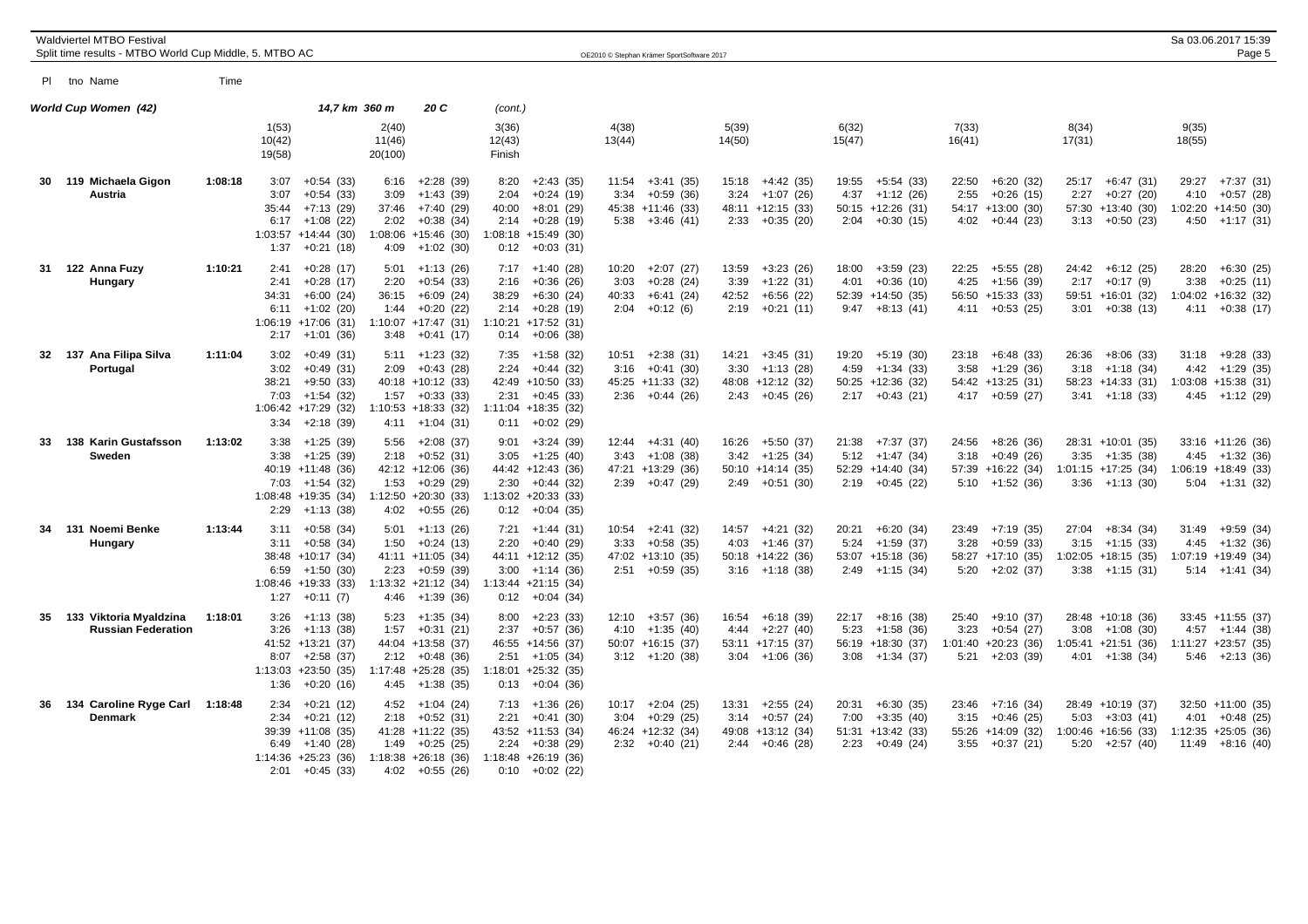|    | Waldviertel MTBO Festival<br>Split time results - MTBO World Cup Middle, 5. MTBO AC |         |                                                                                                                                           |                                                                                                                                            |                                                                                                                                       | OE2010 © Stephan Krämer SportSoftware 2017                                                |                                                                                           |                                                                                           |                                                                                            |                                                                                         | Sa 03.06.2017 15:39<br>Page 5                                                             |
|----|-------------------------------------------------------------------------------------|---------|-------------------------------------------------------------------------------------------------------------------------------------------|--------------------------------------------------------------------------------------------------------------------------------------------|---------------------------------------------------------------------------------------------------------------------------------------|-------------------------------------------------------------------------------------------|-------------------------------------------------------------------------------------------|-------------------------------------------------------------------------------------------|--------------------------------------------------------------------------------------------|-----------------------------------------------------------------------------------------|-------------------------------------------------------------------------------------------|
|    | PI tho Name                                                                         | Time    |                                                                                                                                           |                                                                                                                                            |                                                                                                                                       |                                                                                           |                                                                                           |                                                                                           |                                                                                            |                                                                                         |                                                                                           |
|    | World Cup Women (42)                                                                |         |                                                                                                                                           | 14,7 km 360 m<br>20 C                                                                                                                      | (cont.)                                                                                                                               |                                                                                           |                                                                                           |                                                                                           |                                                                                            |                                                                                         |                                                                                           |
|    |                                                                                     |         | 1(53)<br>10(42)<br>19(58)                                                                                                                 | 2(40)<br>11(46)<br>20(100)                                                                                                                 | 3(36)<br>12(43)<br>Finish                                                                                                             | 4(38)<br>13(44)                                                                           | 5(39)<br>14(50)                                                                           | 6(32)<br>15(47)                                                                           | 7(33)<br>16(41)                                                                            | 8(34)<br>17(31)                                                                         | 9(35)<br>18(55)                                                                           |
|    | 30 119 Michaela Gigon<br>Austria                                                    | 1:08:18 | $+0.54(33)$<br>3:07<br>$+0:54(33)$<br>3:07<br>35:44<br>$+7:13(29)$<br>$+1:08(22)$<br>6:17<br>$1:03:57$ +14:44 (30)<br>1:37<br>$+0:21(18)$ | $+2:28(39)$<br>6:16<br>3:09<br>$+1:43(39)$<br>37:46<br>$+7:40(29)$<br>$+0:38(34)$<br>2:02<br>$1:08:06 + 15:46$ (30)<br>$+1:02(30)$<br>4:09 | $+2:43(35)$<br>8:20<br>$+0:24(19)$<br>2:04<br>40:00<br>$+8:01(29)$<br>$2:14 + 0:28(19)$<br>1:08:18 +15:49 (30)<br>$0:12 + 0:03(31)$   | $+3:41(35)$<br>11:54<br>$+0.59(36)$<br>3:34<br>45:38 +11:46 (33)<br>$5:38$ +3:46 (41)     | $15:18 +4:42(35)$<br>$+1:07(26)$<br>3:24<br>48:11 +12:15 (33)<br>$2:33 + 0:35(20)$        | 19:55 +5:54 (33)<br>4:37<br>$+1:12(26)$<br>$50:15 + 12:26$ (31)<br>$2:04$ +0:30 (15)      | $22:50 + 6:20(32)$<br>2:55<br>$+0:26(15)$<br>54:17 +13:00 (30)<br>$4:02 +0:44(23)$         | $25:17 + 6:47$ (31)<br>$+0:27(20)$<br>2:27<br>57:30 +13:40 (30)<br>$3:13 + 0:50(23)$    | 29:27 +7:37 (31)<br>4:10<br>$+0:57(28)$<br>$1:02:20 +14:50(30)$<br>$4:50 +1:17(31)$       |
| 31 | 122 Anna Fuzy<br>Hungary                                                            | 1:10:21 | 2:41<br>$+0:28(17)$<br>2:41<br>$+0:28(17)$<br>34:31<br>$+6:00(24)$<br>6:11<br>$+1:02(20)$<br>$1:06:19 + 17:06(31)$<br>2:17<br>$+1:01(36)$ | 5:01<br>+1:13 (26)<br>$+0.54(33)$<br>2:20<br>36:15<br>$+6:09(24)$<br>1:44<br>$+0:20(22)$<br>$1:10:07$ +17:47 (31)<br>$+0:41(17)$<br>3:48   | $7:17 +1:40(28)$<br>2:16<br>$+0:36(26)$<br>$+6:30(24)$<br>38:29<br>$2:14 + 0:28(19)$<br>$1:10:21$ +17:52 (31)<br>$0:14$ +0:06 (38)    | $+2:07(27)$<br>10:20<br>$+0:28(24)$<br>3:03<br>$+6:41(24)$<br>40:33<br>$+0:12(6)$<br>2:04 | $+3:23(26)$<br>13:59<br>3:39<br>$+1:22(31)$<br>42:52<br>$+6:56(22)$<br>2:19<br>+0:21 (11) | $+3:59(23)$<br>18:00<br>4:01<br>$+0:36(10)$<br>52:39 +14:50 (35)<br>$9:47 + 8:13(41)$     | +5:55 (28)<br>22:25<br>4:25<br>+1:56 (39)<br>56:50 +15:33 (33)<br>$4:11 + 0:53(25)$        | 24:42<br>$+6:12(25)$<br>$2:17 +0:17(9)$<br>59:51 +16:01 (32)<br>$3:01 + 0:38(13)$       | 28:20<br>+6:30 (25)<br>3:38<br>$+0:25(11)$<br>$1:04:02 + 16:32$ (32)<br>$4:11 + 0:38(17)$ |
|    | 32 137 Ana Filipa Silva<br>Portugal                                                 | 1:11:04 | 3:02<br>$+0:49(31)$<br>3:02<br>$+0:49(31)$<br>38:21<br>$+9:50(33)$<br>7:03<br>$+1:54(32)$<br>$1:06:42 +17:29(32)$<br>3:34<br>$+2:18(39)$  | $5:11 + 1:23$ (32)<br>2:09<br>$+0:43(28)$<br>40:18 +10:12 (33)<br>1:57<br>$+0:33(33)$<br>$1:10:53 + 18:33$ (32)<br>$4:11 +1:04(31)$        | $7:35 +1:58(32)$<br>2:24<br>$+0:44(32)$<br>42:49 +10:50 (33)<br>$+0:45(33)$<br>2:31<br>1:11:04 +18:35 (32)<br>0:11<br>$+0:02(29)$     | $+2:38(31)$<br>10:51<br>3:16<br>$+0:41(30)$<br>45:25 +11:33 (32)<br>$+0:44(26)$<br>2:36   | $14:21 +3:45(31)$<br>3:30<br>$+1:13(28)$<br>48:08 +12:12 (32)<br>$2:43 +0:45(26)$         | 19:20<br>+5:19 (30)<br>$4:59 +1:34(33)$<br>50:25 +12:36 (32)<br>$2:17 +0:43(21)$          | $23:18 + 6:48$ (33)<br>3:58<br>+1:29 (36)<br>54:42 +13:25 (31)<br>$4:17 + 0:59(27)$        | $+8:06(33)$<br>26:36<br>$3:18$ +1:18 (34)<br>58:23 +14:33 (31)<br>$3:41 +1:18(33)$      | $+9:28(33)$<br>31:18<br>$4:42 +1:29$ (35)<br>$1:03:08$ +15:38 (31)<br>$4:45 +1:12(29)$    |
|    | 33 138 Karin Gustafsson<br>Sweden                                                   | 1:13:02 | 3:38<br>+1:25 (39)<br>3:38<br>$+1:25(39)$<br>40:19 +11:48 (36)<br>7:03<br>$+1:54(32)$<br>1:08:48 +19:35 (34)<br>2:29<br>$+1:13(38)$       | $+2:08(37)$<br>5:56<br>$+0:52(31)$<br>2:18<br>42:12 +12:06 (36)<br>1:53<br>$+0:29(29)$<br>$1:12:50 + 20:30(33)$<br>$+0:55(26)$<br>4:02     | $+3:24(39)$<br>9:01<br>$+1:25(40)$<br>3:05<br>44:42 +12:43 (36)<br>$2:30 +0:44(32)$<br>1:13:02 +20:33 (33)<br>$0:12 + 0:04$ (35)      | 12:44<br>+4:31 (40)<br>$+1:08(38)$<br>3:43<br>47:21 +13:29 (36)<br>$2:39 +0:47(29)$       | 16:26 +5:50 (37)<br>$+1:25(34)$<br>3:42<br>$50:10 + 14:14(35)$<br>$2:49 +0:51(30)$        | $21:38$ +7:37 (37)<br>$5:12 +1:47(34)$<br>52:29 +14:40 (34)<br>$2:19 +0:45(22)$           | $24:56 + 8:26$ (36)<br>$+0:49(26)$<br>3:18<br>57:39 +16:22 (34)<br>$5:10 +1:52(36)$        | 28:31 +10:01 (35)<br>$3:35 +1:35(38)$<br>$1:01:15 +17:25(34)$<br>$3:36 +1:13(30)$       | $33:16 + 11:26$ (36)<br>$4:45 +1:32(36)$<br>$1:06:19 + 18:49(33)$<br>$5:04$ +1:31 (32)    |
| 34 | 131 Noemi Benke<br>Hungary                                                          | 1:13:44 | $3:11 + 0:58$ (34)<br>$+0.58(34)$<br>3:11<br>38:48 +10:17 (34)<br>6:59<br>+1:50 (30)<br>$1:08:46 +19:33(33)$<br>1:27<br>$+0:11(7)$        | $5:01 +1:13(26)$<br>$+0:24(13)$<br>1:50<br>41:11 +11:05 (34)<br>$+0.59(39)$<br>2:23<br>$1:13:32 +21:12$ (34)<br>4:46<br>$+1:39(36)$        | 7:21<br>+1:44 (31)<br>$+0:40(29)$<br>2:20<br>44:11 +12:12 (35)<br>$3:00 +1:14(36)$<br>$1:13:44$ +21:15 (34)<br>$0:12 + 0:04$ (34)     | 10:54<br>$+2:41(32)$<br>$+0.58(35)$<br>3:33<br>47:02 +13:10 (35)<br>$2:51 + 0:59$ (35)    | 14:57<br>+4:21 (32)<br>$+1:46(37)$<br>4:03<br>50:18 +14:22 (36)<br>$3:16 +1:18(38)$       | 20:21<br>+6:20 (34)<br>$+1:59(37)$<br>5:24<br>53:07 +15:18 (36)<br>$2:49$ +1:15 (34)      | 23:49<br>+7:19 (35)<br>3:28<br>$+0:59(33)$<br>58:27 +17:10 (35)<br>$5:20 +2:02(37)$        | 27:04<br>$+8:34(34)$<br>$+1:15(33)$<br>3:15<br>$1:02:05 +18:15(35)$<br>$3:38 +1:15(31)$ | 31:49<br>+9:59 (34)<br>$4:45 +1:32(36)$<br>1:07:19 +19:49 (34)<br>$5:14 +1:41(34)$        |
| 35 | 133 Viktoria Myaldzina<br><b>Russian Federation</b>                                 | 1:18:01 | $+1:13(38)$<br>3:26<br>3:26<br>$+1:13(38)$<br>41:52 +13:21 (37)<br>$+2:58(37)$<br>8:07<br>$1:13:03 +23:50(35)$<br>1:36<br>$+0:20(16)$     | $+1:35(34)$<br>5:23<br>$+0:31(21)$<br>1:57<br>44:04 +13:58 (37)<br>$+0:48(36)$<br>2:12<br>$1:17:48$ +25:28 (35)<br>$+1:38(35)$<br>4:45     | $+2:23(33)$<br>8:00<br>2:37<br>$+0:57(36)$<br>46:55 +14:56 (37)<br>2:51<br>+1:05 (34)<br>$1:18:01 + 25:32(35)$<br>$+0:04(36)$<br>0:13 | $+3:57(36)$<br>12:10<br>$+1:35(40)$<br>4:10<br>$50:07 + 16:15(37)$<br>$3:12 +1:20(38)$    | 16:54 +6:18 (39)<br>$+2:27(40)$<br>4:44<br>$53:11 + 17:15$ (37)<br>$3:04$ +1:06 (36)      | $22:17 + 8:16$ (38)<br>$+1:58(36)$<br>5:23<br>56:19 +18:30 (37)<br>$3:08 +1:34(37)$       | 25:40<br>+9:10 (37)<br>3:23<br>$+0:54(27)$<br>$1:01:40 + 20:23$ (36)<br>+2:03 (39)<br>5:21 | 28:48 +10:18 (36)<br>$3:08 +1:08(30)$<br>$1:05:41 +21:51$ (36)<br>$4:01 +1:38(34)$      | 33:45 +11:55 (37)<br>$4:57 +1:44(38)$<br>$1:11:27$ +23:57 (35)<br>$5:46 +2:13(36)$        |
|    | 36 134 Caroline Ryge Carl 1:18:48<br><b>Denmark</b>                                 |         | 2:34<br>$+0:21(12)$<br>$+0:21(12)$<br>2:34<br>39:39 +11:08 (35)<br>6:49<br>+1:40 (28)<br>$1:14:36 +25:23(36)$<br>$2:01 + 0:45$ (33)       | $4:52 +1:04(24)$<br>$+0:52(31)$<br>2:18<br>41:28 +11:22 (35)<br>$+0:25(25)$<br>1:49<br>$1:18:38 + 26:18$ (36)<br>4:02<br>$+0:55(26)$       | $7:13 +1:36(26)$<br>2:21<br>$+0:41(30)$<br>43:52 +11:53 (34)<br>$+0:38(29)$<br>2:24<br>$1:18:48 + 26:19(36)$<br>$0:10 + 0:02$ (22)    | $+2:04(25)$<br>10:17<br>$+0.29(25)$<br>3:04<br>46:24 +12:32 (34)<br>$2:32 +0:40(21)$      | $+2:55(24)$<br>13:31<br>$+0:57(24)$<br>3:14<br>49:08 +13:12 (34)<br>$2:44 +0:46(28)$      | $+6:30(35)$<br>20:31<br>7:00<br>$+3:35(40)$<br>$51:31 + 13:42$ (33)<br>2:23<br>+0:49 (24) | $23:46$ +7:16 (34)<br>$+0:46(25)$<br>3:15<br>55:26 +14:09 (32)<br>$+0:37(21)$<br>3:55      | 28:49 +10:19 (37)<br>5:03<br>$+3:03(41)$<br>$1:00:46$ +16:56 (33)<br>$5:20 +2:57(40)$   | 32:50 +11:00 (35)<br>4:01<br>$+0:48(25)$<br>$1:12:35 +25:05$ (36)<br>$11:49 + 8:16(40)$   |